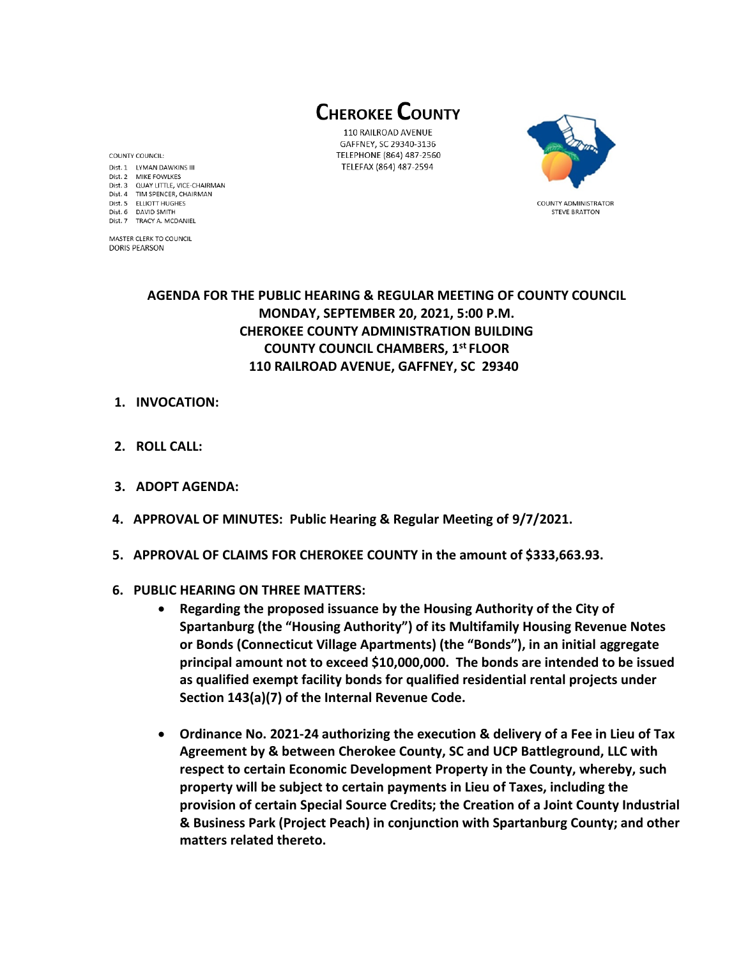**CHEROKEE COUNTY** 

110 RAILROAD AVENUE GAFFNEY, SC 29340-3136 TELEPHONE (864) 487-2560 TELEFAX (864) 487-2594



**COUNTY ADMINISTRATOR STEVE BRATTON** 

**AGENDA FOR THE PUBLIC HEARING & REGULAR MEETING OF COUNTY COUNCIL MONDAY, SEPTEMBER 20, 2021, 5:00 P.M. CHEROKEE COUNTY ADMINISTRATION BUILDING COUNTY COUNCIL CHAMBERS, 1 st FLOOR 110 RAILROAD AVENUE, GAFFNEY, SC 29340** 

**1. INVOCATION:**

COUNTY COUNCIL:

Dist. 6 DAVID SMITH

Dist. 7 TRACY A. MCDANIEL MASTER CLERK TO COUNCIL **DORIS PEARSON** 

Dist. 1 LYMAN DAWKINS III Dist. 2 MIKE FOWLKES

Dist. 3 QUAY LITTLE, VICE-CHAIRMAN Dist. 4 TIM SPENCER, CHAIRMAN Dist. 5 ELLIOTT HUGHES

- **2. ROLL CALL:**
- **3. ADOPT AGENDA:**
- **4. APPROVAL OF MINUTES: Public Hearing & Regular Meeting of 9/7/2021.**
- **5. APPROVAL OF CLAIMS FOR CHEROKEE COUNTY in the amount of \$333,663.93.**
- **6. PUBLIC HEARING ON THREE MATTERS:** 
	- **Regarding the proposed issuance by the Housing Authority of the City of Spartanburg (the "Housing Authority") of its Multifamily Housing Revenue Notes or Bonds (Connecticut Village Apartments) (the "Bonds"), in an initial aggregate principal amount not to exceed \$10,000,000. The bonds are intended to be issued as qualified exempt facility bonds for qualified residential rental projects under Section 143(a)(7) of the Internal Revenue Code.**
	- **Ordinance No. 2021-24 authorizing the execution & delivery of a Fee in Lieu of Tax Agreement by & between Cherokee County, SC and UCP Battleground, LLC with respect to certain Economic Development Property in the County, whereby, such property will be subject to certain payments in Lieu of Taxes, including the provision of certain Special Source Credits; the Creation of a Joint County Industrial & Business Park (Project Peach) in conjunction with Spartanburg County; and other matters related thereto.**